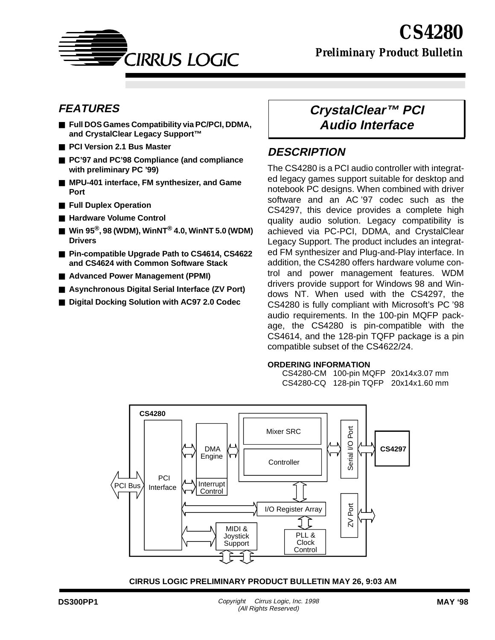

*Preliminary Product Bulletin*

# **FEATURES**

- **Full DOS Games Compatibility via PC/PCI, DDMA, and CrystalClear Legacy Support™**
- **PCI Version 2.1 Bus Master**
- **PC'97** and **PC'98** Compliance (and compliance **with preliminary PC '99)**
- MPU-401 interface, FM synthesizer, and Game **Port**
- **Full Duplex Operation**
- Hardware Volume Control
- Win 95<sup>®</sup>, 98 (WDM), WinNT<sup>®</sup> 4.0, WinNT 5.0 (WDM) **Drivers**
- **Pin-compatible Upgrade Path to CS4614, CS4622 and CS4624 with Common Software Stack**
- **Advanced Power Management (PPMI)**
- Asynchronous Digital Serial Interface (ZV Port)
- **Digital Docking Solution with AC97 2.0 Codec**

# **CrystalClear™ PCI Audio Interface**

# **DESCRIPTION**

The CS4280 is a PCI audio controller with integrated legacy games support suitable for desktop and notebook PC designs. When combined with driver software and an AC '97 codec such as the CS4297, this device provides a complete high quality audio solution. Legacy compatibility is achieved via PC-PCI, DDMA, and CrystalClear Legacy Support. The product includes an integrated FM synthesizer and Plug-and-Play interface. In addition, the CS4280 offers hardware volume control and power management features. WDM drivers provide support for Windows 98 and Windows NT. When used with the CS4297, the CS4280 is fully compliant with Microsoft's PC '98 audio requirements. In the 100-pin MQFP package, the CS4280 is pin-compatible with the CS4614, and the 128-pin TQFP package is a pin compatible subset of the CS4622/24.

#### **ORDERING INFORMATION**

CS4280-CM 100-pin MQFP 20x14x3.07 mm CS4280-CQ 128-pin TQFP 20x14x1.60 mm

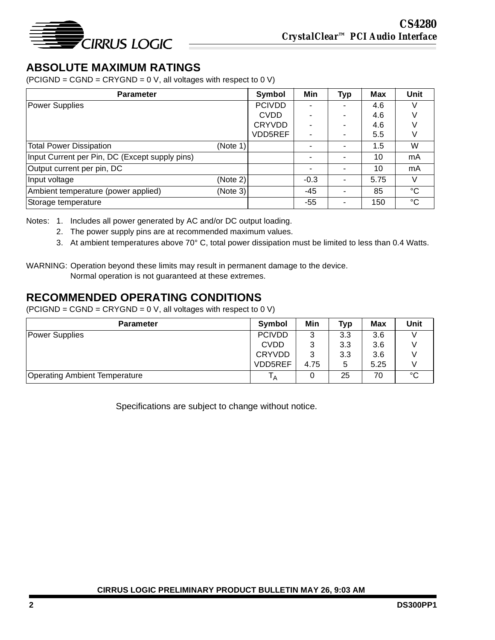

# **ABSOLUTE MAXIMUM RATINGS**

 $(PCIGND = CGND = CRYGND = 0 V,$  all voltages with respect to 0 V)

| <b>Parameter</b>                               |          | Symbol        | Min    | <b>Typ</b>               | <b>Max</b> | Unit        |
|------------------------------------------------|----------|---------------|--------|--------------------------|------------|-------------|
| Power Supplies                                 |          | <b>PCIVDD</b> |        |                          | 4.6        |             |
|                                                |          | <b>CVDD</b>   |        |                          | 4.6        |             |
|                                                |          | <b>CRYVDD</b> |        | ۰                        | 4.6        |             |
|                                                |          | VDD5REF       |        | ۰                        | 5.5        |             |
| <b>Total Power Dissipation</b>                 | (Note 1) |               |        |                          | 1.5        | W           |
| Input Current per Pin, DC (Except supply pins) |          |               |        | ۰                        | 10         | mA          |
| Output current per pin, DC                     |          |               |        |                          | 10         | mA          |
| Input voltage                                  | (Note 2) |               | $-0.3$ | $\overline{\phantom{0}}$ | 5.75       |             |
| Ambient temperature (power applied)            | (Note 3) |               | -45    |                          | 85         | °C          |
| Storage temperature                            |          |               | -55    | ۰                        | 150        | $^{\circ}C$ |

Notes: 1. Includes all power generated by AC and/or DC output loading.

- 2. The power supply pins are at recommended maximum values.
- 3. At ambient temperatures above 70° C, total power dissipation must be limited to less than 0.4 Watts.

# **RECOMMENDED OPERATING CONDITIONS**

 $(PCIGND = CGND = CRYGND = 0 V,$  all voltages with respect to 0 V)

| <b>Parameter</b>                     | <b>Symbol</b> | Min  | Typ | Max  | Unit |
|--------------------------------------|---------------|------|-----|------|------|
| Power Supplies                       | <b>PCIVDD</b> | 3    | 3.3 | 3.6  |      |
|                                      | <b>CVDD</b>   | 3    | 3.3 | 3.6  |      |
|                                      | <b>CRYVDD</b> | 3    | 3.3 | 3.6  |      |
|                                      | VDD5REF       | 4.75 | 5   | 5.25 |      |
| <b>Operating Ambient Temperature</b> | ΙA            | 0    | 25  | 70   | °C   |

Specifications are subject to change without notice.

WARNING: Operation beyond these limits may result in permanent damage to the device. Normal operation is not guaranteed at these extremes.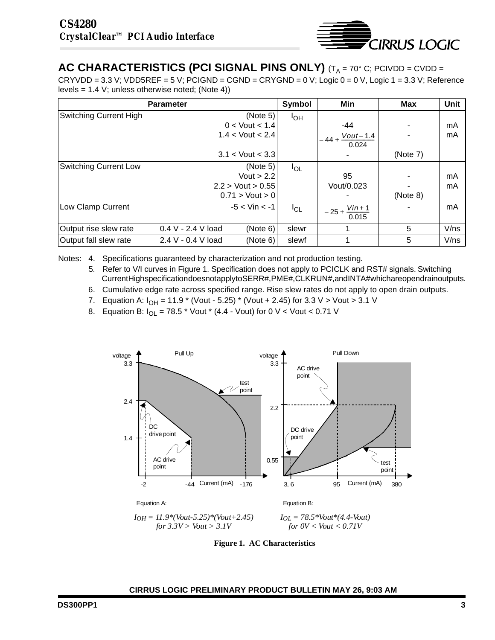

# <span id="page-2-0"></span>**AC CHARACTERISTICS (PCI SIGNAL PINS ONLY)** (T<sub>A</sub> = 70° C; PCIVDD = CVDD =

CRYVDD = 3.3 V; VDD5REF = 5 V; PCIGND = CGND = CRYGND = 0 V; Logic 0 = 0 V, Logic 1 = 3.3 V; Reference levels = 1.4 V; unless otherwise noted; (Note 4))

|                               | <b>Parameter</b>                 | Symbol   | Min                              | <b>Max</b> | Unit |
|-------------------------------|----------------------------------|----------|----------------------------------|------------|------|
| <b>Switching Current High</b> | (Note 5)                         | $I_{OH}$ |                                  |            |      |
|                               | $0 <$ Vout $< 1.4$               |          | -44                              |            | mA   |
|                               | $1.4 <$ Vout $< 2.4$             |          | $-44 + \frac{Vout - 1.4}{0.024}$ |            | mA   |
|                               |                                  |          |                                  |            |      |
|                               | $3.1 <$ Vout $< 3.3$             |          |                                  | (Note 7)   |      |
| <b>Switching Current Low</b>  | (Note 5)                         | $I_{OL}$ |                                  |            |      |
|                               | Vout $> 2.2$                     |          | 95                               |            | mA   |
|                               | $2.2 >$ Vout $> 0.55$            |          | Vout/0.023                       |            | mA   |
|                               | $0.71 >$ Vout $> 0$              |          |                                  | (Note 8)   |      |
| Low Clamp Current             | $-5 <$ Vin $<$ -1                | $I_{CL}$ | $-25 + \frac{V in + 1}{0.015}$   |            | mA   |
|                               |                                  |          |                                  |            |      |
| Output rise slew rate         | $0.4 V - 2.4 V$ load<br>(Note 6) | slewr    |                                  | 5          | V/ns |
| Output fall slew rate         | 2.4 V - 0.4 V load<br>(Note 6)   | slewf    |                                  | 5          | V/ns |

Notes: 4. Specifications guaranteed by characterization and not production testing.

- 5. Refer to V/I curves in Figure 1. Specification does not apply to PCICLK and RST# signals. Switching Current High specification does not apply to SERR#, PME#, CLKRUN#, and INTA# which are open drain outputs.
- 6. Cumulative edge rate across specified range. Rise slew rates do not apply to open drain outputs.
- 7. Equation A:  $I_{OH} = 11.9$  \* (Vout 5.25) \* (Vout + 2.45) for 3.3 V > Vout > 3.1 V
- 8. Equation B:  $I_{\text{O}} = 78.5$  \* Vout \* (4.4 Vout) for 0 V < Vout < 0.71 V



**Figure 1. AC Characteristics**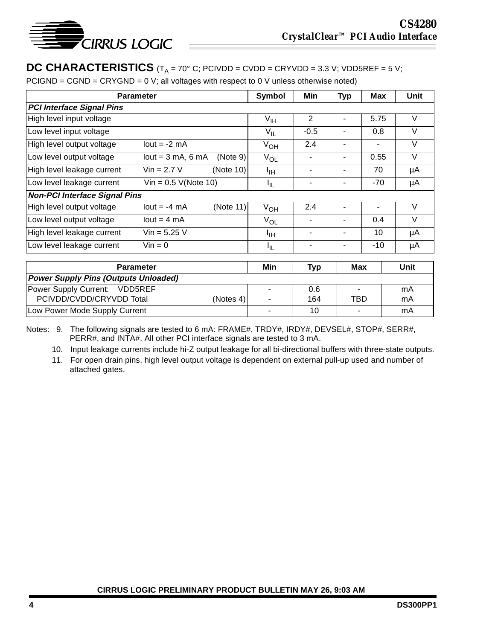

# **DC CHARACTERISTICS**  $(T_A = 70^\circ \text{ C}; PCIVDD = CVDD = CRYVDD = 3.3 \text{ V}; VDD5REF = 5 \text{ V};$

 $PCIGND = CGND = CRYGND = 0 V$ ; all voltages with respect to 0 V unless otherwise noted)

| <b>Parameter</b>                            |                        | Symbol    | Min             | <b>Typ</b>     | <b>Max</b> | Unit           |        |
|---------------------------------------------|------------------------|-----------|-----------------|----------------|------------|----------------|--------|
| <b>PCI Interface Signal Pins</b>            |                        |           |                 |                |            |                |        |
| High level input voltage                    |                        |           | $V_{\text{IH}}$ | $\overline{2}$ |            | 5.75           | V      |
| Low level input voltage                     |                        |           | $V_{IL}$        | $-0.5$         |            | 0.8            | V      |
| High level output voltage                   | $lout = -2 mA$         |           | $V_{OH}$        | 2.4            | ۰          | $\blacksquare$ | $\vee$ |
| Low level output voltage                    | $lout = 3 mA$ , 6 mA   | (Note 9)  | $V_{OL}$        | ٠              |            | 0.55           | $\vee$ |
| High level leakage current                  | $Vin = 2.7 V$          | (Note 10) | ŀщ              | ۰              | ۰          | 70             | μA     |
| Low level leakage current                   | Vin = $0.5$ V(Note 10) |           | I <sub>IL</sub> | ٠              | ۰          | -70            | μA     |
| <b>Non-PCI Interface Signal Pins</b>        |                        |           |                 |                |            |                |        |
| High level output voltage                   | $lout = -4 mA$         | (Note 11) | $V_{OH}$        | 2.4            |            | ۰              | V      |
| Low level output voltage                    | $lout = 4 mA$          |           | $V_{OL}$        | ۰              | ۰          | 0.4            | V      |
| High level leakage current                  | $Vin = 5.25 V$         |           | ŀщ              | ۰              | ۰          | 10             | μA     |
| Low level leakage current                   | $V$ in = 0             |           | ЧL.             |                |            | -10            | μA     |
|                                             |                        |           |                 |                |            |                |        |
| <b>Parameter</b>                            |                        | Min       | <b>Typ</b>      | <b>Max</b>     |            | Unit           |        |
| <b>Power Supply Pins (Outputs Unloaded)</b> |                        |           |                 |                |            |                |        |
| Power Supply Current:                       | VDD5REF                |           |                 | 0.6            |            |                | mA     |

Notes: 9. The following signals are tested to 6 mA: FRAME#, TRDY#, IRDY#, DEVSEL#, STOP#, SERR#, PERR#, and INTA#. All other PCI interface signals are tested to 3 mA.

Low Power Mode Supply Current - 10 - mA

PCIVDD/CVDD/CRYVDD Total (Notes [4\)](#page-2-0)

10. Input leakage currents include hi-Z output leakage for all bi-directional buffers with three-state outputs.

-

164

TBD

mA

11. For open drain pins, high level output voltage is dependent on external pull-up used and number of attached gates.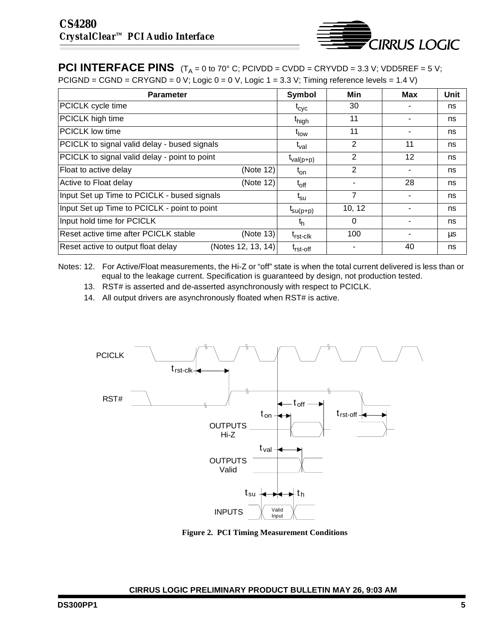

**PCI INTERFACE PINS**  $(T_A = 0 \text{ to } 70^\circ \text{ C};$  PCIVDD = CVDD = CRYVDD = 3.3 V; VDD5REF = 5 V; PCIGND = CGND = CRYGND = 0 V; Logic 0 = 0 V, Logic 1 = 3.3 V; Timing reference levels = 1.4 V)

| <b>Parameter</b>                                         | Symbol                       | Min      | Max | Unit |
|----------------------------------------------------------|------------------------------|----------|-----|------|
| PCICLK cycle time                                        | $t_{\rm cyc}$                | 30       |     | ns   |
| PCICLK high time                                         | t <sub>high</sub>            | 11       |     | ns   |
| <b>IPCICLK</b> low time                                  | t <sub>low</sub>             | 11       |     | ns   |
| PCICLK to signal valid delay - bused signals             | t <sub>val</sub>             | 2        | 11  | ns   |
| PCICLK to signal valid delay - point to point            | $t_{val(p+p)}$               | 2        | 12  | ns   |
| Float to active delay<br>(Note 12)                       | $t_{on}$                     | 2        |     | ns   |
| Active to Float delay<br>(Note 12)                       | $t_{off}$                    |          | 28  | ns   |
| Input Set up Time to PCICLK - bused signals              | $\mathfrak{t}_{\mathsf{su}}$ | 7        |     | ns   |
| Input Set up Time to PCICLK - point to point             | $t_{\text{su}(p+p)}$         | 10, 12   |     | ns   |
| Input hold time for PCICLK                               | th                           | $\Omega$ |     | ns   |
| Reset active time after PCICLK stable<br>(Note 13)       | t <sub>rst-clk</sub>         | 100      |     | μs   |
| Reset active to output float delay<br>(Notes 12, 13, 14) | <sup>T</sup> rst-off         |          | 40  | ns   |

Notes: 12. For Active/Float measurements, the Hi-Z or "off" state is when the total current delivered is less than or equal to the leakage current. Specification is guaranteed by design, not production tested.

- 13. RST# is asserted and de-asserted asynchronously with respect to PCICLK.
- 14. All output drivers are asynchronously floated when RST# is active.



**Figure 2. PCI Timing Measurement Conditions**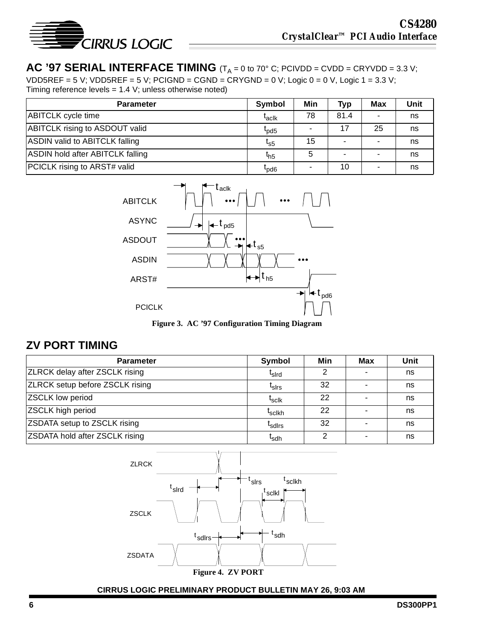

#### **AC '97 SERIAL INTERFACE TIMING**  $(T_A = 0 \text{ to } 70^\circ \text{ C};$  PCIVDD = CVDD = CRYVDD = 3.3 V; VDD5REF = 5 V; VDD5REF = 5 V; PCIGND = CGND = CRYGND = 0 V; Logic 0 = 0 V, Logic 1 = 3.3 V; Timing reference levels = 1.4 V; unless otherwise noted)

| $\frac{1}{2}$ is a constructed to $\frac{1}{2}$ or $\frac{1}{2}$ in the set of the set of the set of the set of the set of the set of the set of the set of the set of the set of the set of the set of the set of the set of the set of |                             |     |            |            |      |  |  |  |
|------------------------------------------------------------------------------------------------------------------------------------------------------------------------------------------------------------------------------------------|-----------------------------|-----|------------|------------|------|--|--|--|
| <b>Parameter</b>                                                                                                                                                                                                                         | Symbol                      | Min | <b>Typ</b> | <b>Max</b> | Unit |  |  |  |
| <b>ABITCLK</b> cycle time                                                                                                                                                                                                                | $I_{\text{ac}lk}$           | 78  | 81.4       |            | ns   |  |  |  |
| <b>ABITCLK rising to ASDOUT valid</b>                                                                                                                                                                                                    | $\mathfrak{r}_{\text{pd}5}$ |     | 17         | 25         | ns   |  |  |  |
| <b>ASDIN valid to ABITCLK falling</b>                                                                                                                                                                                                    | $I_{S5}$                    | 15  |            |            | ns   |  |  |  |
| <b>ASDIN hold after ABITCLK falling</b>                                                                                                                                                                                                  | $t_{h5}$                    | 5   |            |            | ns   |  |  |  |
| PCICLK rising to ARST# valid                                                                                                                                                                                                             | $L_{\text{Dd6}}$            |     | 10         |            | ns   |  |  |  |



**Figure 3. AC '97 Configuration Timing Diagram**

# **ZV PORT TIMING**

| <b>Parameter</b>                       | Symbol             | Min | Max | Unit |
|----------------------------------------|--------------------|-----|-----|------|
| <b>ZLRCK delay after ZSCLK rising</b>  | <sup>L</sup> sird  | ⌒   |     | ns   |
| <b>ZLRCK setup before ZSCLK rising</b> | <sup>l</sup> sirs  | 32  |     | ns   |
| <b>ZSCLK</b> low period                | <sup>L</sup> sclk  | 22  |     | ns   |
| ZSCLK high period                      | <sup>I</sup> sclkh | 22  |     | ns   |
| <b>ZSDATA setup to ZSCLK rising</b>    | <sup>L</sup> sdirs | 32  | ٠   | ns   |
| <b>ZSDATA hold after ZSCLK rising</b>  | <sup>l</sup> sdh   |     |     | ns   |

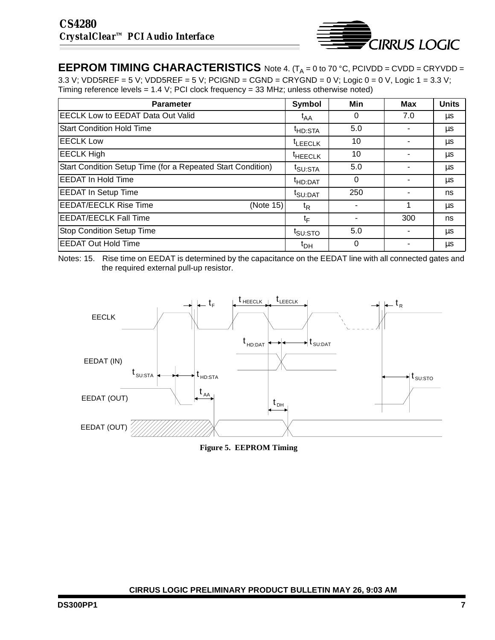

**EEPROM TIMING CHARACTERISTICS** Note [4](#page-2-0). (T<sub>A</sub> = 0 to 70 °C, PCIVDD = CVDD = CRYVDD = 3.3 V; VDD5REF = 5 V; VDD5REF = 5 V; PCIGND = CGND = CRYGND = 0 V; Logic 0 = 0 V, Logic 1 = 3.3 V; Timing reference levels = 1.4 V; PCI clock frequency = 33 MHz; unless otherwise noted)

| <b>Parameter</b>                                            | Symbol              | Min      | Max | <b>Units</b> |
|-------------------------------------------------------------|---------------------|----------|-----|--------------|
| <b>EECLK Low to EEDAT Data Out Valid</b>                    | $t_{AA}$            | 0        | 7.0 | μs           |
| <b>IStart Condition Hold Time</b>                           | <sup>t</sup> HD:STA | 5.0      |     | μs           |
| <b>EECLK Low</b>                                            | <sup>t</sup> LEECLK | 10       |     | μs           |
| <b>EECLK High</b>                                           | <sup>t</sup> HEECLK | 10       |     | μs           |
| Start Condition Setup Time (for a Repeated Start Condition) | t <sub>SU:STA</sub> | 5.0      | -   | μs           |
| <b>IEEDAT In Hold Time</b>                                  | <sup>T</sup> HD:DAT | $\Omega$ |     | μs           |
| <b>EEDAT In Setup Time</b>                                  | t <sub>SU:DAT</sub> | 250      |     | ns           |
| <b>EEDAT/EECLK Rise Time</b><br>(Note 15)                   | t <sub>R</sub>      |          |     | μs           |
| <b>EEDAT/EECLK Fall Time</b>                                | $t_{\text{F}}$      |          | 300 | ns           |
| <b>Stop Condition Setup Time</b>                            | t <sub>SU:STO</sub> | 5.0      |     | μs           |
| <b>EEDAT Out Hold Time</b>                                  | $t_{DH}$            | 0        |     | μs           |

Notes: 15. Rise time on EEDAT is determined by the capacitance on the EEDAT line with all connected gates and the required external pull-up resistor.



**Figure 5. EEPROM Timing**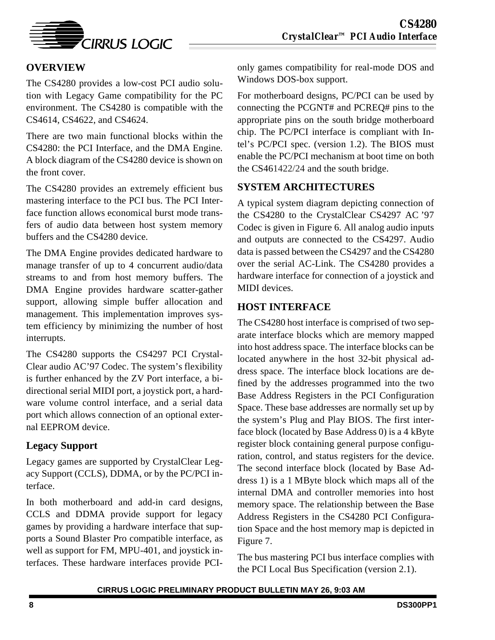

# **OVERVIEW**

The CS4280 provides a low-cost PCI audio solution with Legacy Game compatibility for the PC environment. The CS4280 is compatible with the CS4614, CS4622, and CS4624.

There are two main functional blocks within the CS4280: the PCI Interface, and the DMA Engine. A block diagram of the CS4280 device is shown on the front cover.

The CS4280 provides an extremely efficient bus mastering interface to the PCI bus. The PCI Interface function allows economical burst mode transfers of audio data between host system memory buffers and the CS4280 device.

The DMA Engine provides dedicated hardware to manage transfer of up to 4 concurrent audio/data streams to and from host memory buffers. The DMA Engine provides hardware scatter-gather support, allowing simple buffer allocation and management. This implementation improves system efficiency by minimizing the number of host interrupts.

The CS4280 supports the CS4297 PCI Crystal-Clear audio AC'97 Codec. The system's flexibility is further enhanced by the ZV Port interface, a bidirectional serial MIDI port, a joystick port, a hardware volume control interface, and a serial data port which allows connection of an optional external EEPROM device.

# **Legacy Support**

Legacy games are supported by CrystalClear Legacy Support (CCLS), DDMA, or by the PC/PCI interface.

In both motherboard and add-in card designs, CCLS and DDMA provide support for legacy games by providing a hardware interface that supports a Sound Blaster Pro compatible interface, as well as support for FM, MPU-401, and joystick interfaces. These hardware interfaces provide PCI- only games compatibility for real-mode DOS and Windows DOS-box support.

For motherboard designs, PC/PCI can be used by connecting the PCGNT# and PCREQ# pins to the appropriate pins on the south bridge motherboard chip. The PC/PCI interface is compliant with Intel's PC/PCI spec. (version 1.2). The BIOS must enable the PC/PCI mechanism at boot time on both the CS461422/24 and the south bridge.

# **SYSTEM ARCHITECTURES**

A typical system diagram depicting connection of the CS4280 to the CrystalClear CS4297 AC '97 Codec is given in Figure [6.](#page-8-0) All analog audio inputs and outputs are connected to the CS4297. Audio data is passed between the CS4297 and the CS4280 over the serial AC-Link. The CS4280 provides a hardware interface for connection of a joystick and MIDI devices.

# **HOST INTERFACE**

The CS4280 host interface is comprised of two separate interface blocks which are memory mapped into host address space. The interface blocks can be located anywhere in the host 32-bit physical address space. The interface block locations are defined by the addresses programmed into the two Base Address Registers in the PCI Configuration Space. These base addresses are normally set up by the system's Plug and Play BIOS. The first interface block (located by Base Address 0) is a 4 kByte register block containing general purpose configuration, control, and status registers for the device. The second interface block (located by Base Address 1) is a 1 MByte block which maps all of the internal DMA and controller memories into host memory space. The relationship between the Base Address Registers in the CS4280 PCI Configuration Space and the host memory map is depicted in Figure [7](#page-8-0).

The bus mastering PCI bus interface complies with the PCI Local Bus Specification (version 2.1).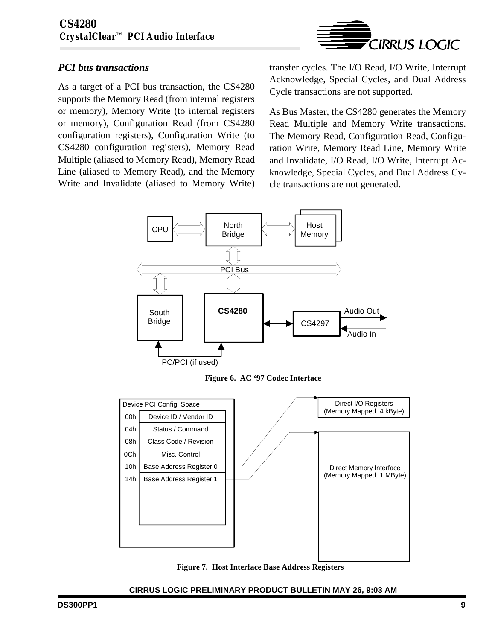

## <span id="page-8-0"></span>*PCI bus transactions*

As a target of a PCI bus transaction, the CS4280 supports the Memory Read (from internal registers or memory), Memory Write (to internal registers or memory), Configuration Read (from CS4280 configuration registers), Configuration Write (to CS4280 configuration registers), Memory Read Multiple (aliased to Memory Read), Memory Read Line (aliased to Memory Read), and the Memory Write and Invalidate (aliased to Memory Write)

transfer cycles. The I/O Read, I/O Write, Interrupt Acknowledge, Special Cycles, and Dual Address Cycle transactions are not supported.

As Bus Master, the CS4280 generates the Memory Read Multiple and Memory Write transactions. The Memory Read, Configuration Read, Configuration Write, Memory Read Line, Memory Write and Invalidate, I/O Read, I/O Write, Interrupt Acknowledge, Special Cycles, and Dual Address Cycle transactions are not generated.



**Figure 6. AC '97 Codec Interface**



**Figure 7. Host Interface Base Address Registers**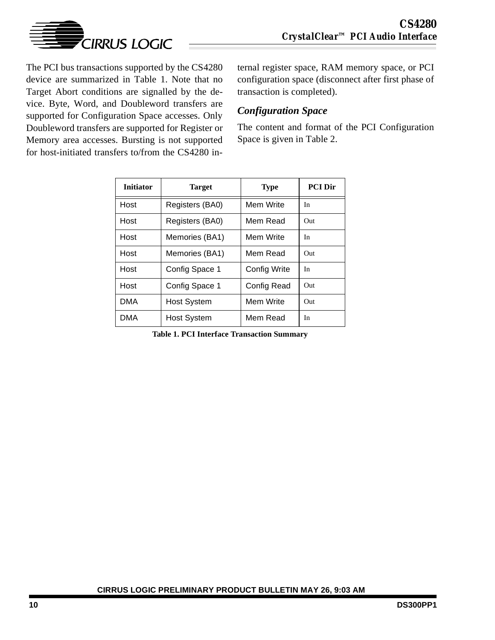

The PCI bus transactions supported by the CS4280 device are summarized in Table 1. Note that no Target Abort conditions are signalled by the device. Byte, Word, and Doubleword transfers are supported for Configuration Space accesses. Only Doubleword transfers are supported for Register or Memory area accesses. Bursting is not supported for host-initiated transfers to/from the CS4280 in-

ternal register space, RAM memory space, or PCI configuration space (disconnect after first phase of transaction is completed).

## *Configuration Space*

The content and format of the PCI Configuration Space is given in Table [2](#page-10-0).

| <b>Initiator</b> | <b>Target</b>      | <b>Type</b>  | <b>PCI Dir</b> |
|------------------|--------------------|--------------|----------------|
| Host             | Registers (BA0)    | Mem Write    | In             |
| Host             | Registers (BA0)    | Mem Read     | Out            |
| Host             | Memories (BA1)     | Mem Write    | In             |
| Host             | Memories (BA1)     | Mem Read     | Out            |
| Host             | Config Space 1     | Config Write | In             |
| Host             | Config Space 1     | Config Read  | Out            |
| <b>DMA</b>       | <b>Host System</b> | Mem Write    | Out            |
| <b>DMA</b>       | <b>Host System</b> | Mem Read     | In             |

**Table 1. PCI Interface Transaction Summary**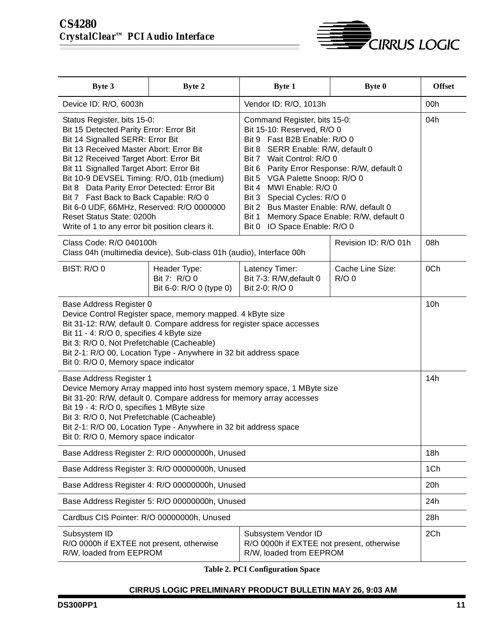

<span id="page-10-0"></span>

| Byte 3                                                                                                                                                                                                                                                                                                                                                                                                                                                                                                                                                                                                                                                                                                                                                                                                                                                                                                                                                   | <b>Byte 2</b>                                                       | <b>Byte 1</b>                                                                               | Byte 0                        | <b>Offset</b> |  |
|----------------------------------------------------------------------------------------------------------------------------------------------------------------------------------------------------------------------------------------------------------------------------------------------------------------------------------------------------------------------------------------------------------------------------------------------------------------------------------------------------------------------------------------------------------------------------------------------------------------------------------------------------------------------------------------------------------------------------------------------------------------------------------------------------------------------------------------------------------------------------------------------------------------------------------------------------------|---------------------------------------------------------------------|---------------------------------------------------------------------------------------------|-------------------------------|---------------|--|
| Device ID: R/O, 6003h                                                                                                                                                                                                                                                                                                                                                                                                                                                                                                                                                                                                                                                                                                                                                                                                                                                                                                                                    |                                                                     | Vendor ID: R/O, 1013h                                                                       |                               | 00h           |  |
| Command Register, bits 15-0:<br>Status Register, bits 15-0:<br>Bit 15 Detected Parity Error: Error Bit<br>Bit 15-10: Reserved, R/O 0<br>Bit 14 Signalled SERR: Error Bit<br>Bit 9 Fast B2B Enable: R/O 0<br>Bit 13 Received Master Abort: Error Bit<br>Bit 8 SERR Enable: R/W, default 0<br>Bit 12 Received Target Abort: Error Bit<br>Bit 7 Wait Control: R/O 0<br>Bit 11 Signalled Target Abort: Error Bit<br>Bit 6 Parity Error Response: R/W, default 0<br>Bit 10-9 DEVSEL Timing: R/O, 01b (medium)<br>Bit 5 VGA Palette Snoop: R/O 0<br>Bit 4 MWI Enable: R/O 0<br>Bit 8 Data Parity Error Detected: Error Bit<br>Bit 7 Fast Back to Back Capable: R/O 0<br>Bit 3 Special Cycles: R/O 0<br>Bit 6-0 UDF, 66MHz, Reserved: R/O 0000000<br>Bit 2 Bus Master Enable: R/W, default 0<br>Reset Status State: 0200h<br>Bit 1<br>Memory Space Enable: R/W, default 0<br>IO Space Enable: R/O 0<br>Write of 1 to any error bit position clears it.<br>Bit 0 |                                                                     |                                                                                             | 04h                           |               |  |
| Class Code: R/O 040100h                                                                                                                                                                                                                                                                                                                                                                                                                                                                                                                                                                                                                                                                                                                                                                                                                                                                                                                                  | Class 04h (multimedia device), Sub-class 01h (audio), Interface 00h |                                                                                             | Revision ID: R/O 01h          | 08h           |  |
| BIST: R/O 0                                                                                                                                                                                                                                                                                                                                                                                                                                                                                                                                                                                                                                                                                                                                                                                                                                                                                                                                              | Header Type:<br>Bit 7: R/O 0<br>Bit 6-0: R/O 0 (type 0)             | Latency Timer:<br>Bit 7-3: R/W, default 0<br>Bit 2-0: R/O 0                                 | Cache Line Size:<br>$R/O$ $0$ | 0Ch           |  |
| Base Address Register 0<br>Device Control Register space, memory mapped. 4 kByte size<br>Bit 31-12: R/W, default 0. Compare address for register space accesses<br>Bit 11 - 4: R/O 0, specifies 4 kByte size<br>Bit 3: R/O 0, Not Prefetchable (Cacheable)<br>Bit 2-1: R/O 00, Location Type - Anywhere in 32 bit address space<br>Bit 0: R/O 0, Memory space indicator                                                                                                                                                                                                                                                                                                                                                                                                                                                                                                                                                                                  |                                                                     |                                                                                             |                               |               |  |
| Base Address Register 1<br>Device Memory Array mapped into host system memory space, 1 MByte size<br>Bit 31-20: R/W, default 0. Compare address for memory array accesses<br>Bit 19 - 4: R/O 0, specifies 1 MByte size<br>Bit 3: R/O 0, Not Prefetchable (Cacheable)<br>Bit 2-1: R/O 00, Location Type - Anywhere in 32 bit address space<br>Bit 0: R/O 0, Memory space indicator                                                                                                                                                                                                                                                                                                                                                                                                                                                                                                                                                                        |                                                                     |                                                                                             |                               |               |  |
|                                                                                                                                                                                                                                                                                                                                                                                                                                                                                                                                                                                                                                                                                                                                                                                                                                                                                                                                                          | Base Address Register 2: R/O 00000000h, Unused                      |                                                                                             |                               | 18h           |  |
|                                                                                                                                                                                                                                                                                                                                                                                                                                                                                                                                                                                                                                                                                                                                                                                                                                                                                                                                                          | Base Address Register 3: R/O 00000000h, Unused                      |                                                                                             |                               | 1Ch           |  |
| Base Address Register 4: R/O 00000000h, Unused                                                                                                                                                                                                                                                                                                                                                                                                                                                                                                                                                                                                                                                                                                                                                                                                                                                                                                           |                                                                     |                                                                                             |                               |               |  |
| Base Address Register 5: R/O 00000000h, Unused                                                                                                                                                                                                                                                                                                                                                                                                                                                                                                                                                                                                                                                                                                                                                                                                                                                                                                           |                                                                     |                                                                                             |                               |               |  |
| Cardbus CIS Pointer: R/O 00000000h, Unused                                                                                                                                                                                                                                                                                                                                                                                                                                                                                                                                                                                                                                                                                                                                                                                                                                                                                                               |                                                                     |                                                                                             |                               | 28h           |  |
| Subsystem ID<br>R/O 0000h if EXTEE not present, otherwise<br>R/W, loaded from EEPROM                                                                                                                                                                                                                                                                                                                                                                                                                                                                                                                                                                                                                                                                                                                                                                                                                                                                     |                                                                     | Subsystem Vendor ID<br>R/O 0000h if EXTEE not present, otherwise<br>R/W, loaded from EEPROM |                               | 2Ch           |  |

**Table 2. PCI Configuration Space**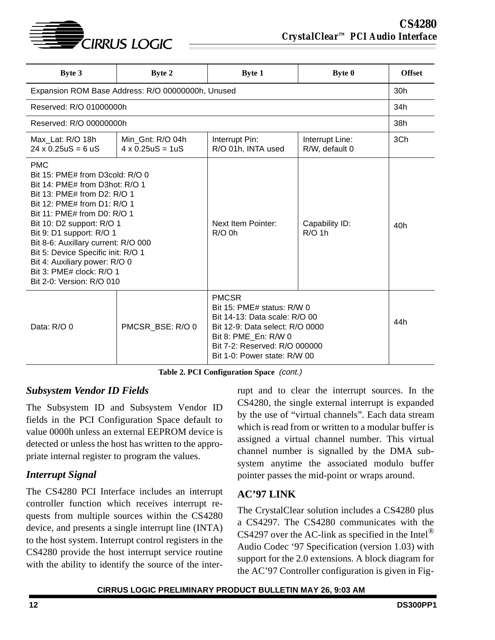

| <b>Byte 3</b>                                                                                                                                                                                                                                                                                                                                       | Byte 2                                       | <b>Byte 1</b>                                                                                                                                                                                             | <b>Byte 0</b>                     | <b>Offset</b> |  |  |
|-----------------------------------------------------------------------------------------------------------------------------------------------------------------------------------------------------------------------------------------------------------------------------------------------------------------------------------------------------|----------------------------------------------|-----------------------------------------------------------------------------------------------------------------------------------------------------------------------------------------------------------|-----------------------------------|---------------|--|--|
| Expansion ROM Base Address: R/O 00000000h, Unused                                                                                                                                                                                                                                                                                                   |                                              |                                                                                                                                                                                                           |                                   |               |  |  |
| Reserved: R/O 01000000h                                                                                                                                                                                                                                                                                                                             |                                              |                                                                                                                                                                                                           |                                   | 34h           |  |  |
| Reserved: R/O 00000000h                                                                                                                                                                                                                                                                                                                             |                                              |                                                                                                                                                                                                           |                                   | 38h           |  |  |
| Max Lat: R/O 18h<br>$24 \times 0.25$ uS = 6 uS                                                                                                                                                                                                                                                                                                      | Min Gnt: R/O 04h<br>$4 \times 0.25$ uS = 1uS | Interrupt Pin:<br>R/O 01h, INTA used                                                                                                                                                                      | Interrupt Line:<br>R/W, default 0 | 3Ch           |  |  |
| <b>PMC</b><br>Bit 15: PME# from D3cold: R/O 0<br>Bit 14: PME# from D3hot: R/O 1<br>Bit 13: PME# from D2: R/O 1<br>Bit 12: PME# from D1: R/O 1<br>Bit 11: PME# from D0: R/O 1<br>Bit 10: D2 support: R/O 1<br>Bit 9: D1 support: R/O 1<br>Bit 8-6: Auxillary current: R/O 000<br>Bit 5: Device Specific init: R/O 1<br>Bit 4: Auxiliary power: R/O 0 |                                              | Next Item Pointer:<br>$R/O$ 0h                                                                                                                                                                            | Capability ID:<br>$R/O$ 1h        | 40h           |  |  |
| Bit 3: PME# clock: R/O 1<br>Bit 2-0: Version: R/O 010<br>Data: R/O 0<br>PMCSR BSE: R/O 0                                                                                                                                                                                                                                                            |                                              | <b>PMCSR</b><br>Bit 15: PME# status: $R/W$ 0<br>Bit 14-13: Data scale: R/O 00<br>Bit 12-9: Data select: R/O 0000<br>Bit 8: PME En: R/W 0<br>Bit 7-2: Reserved: R/O 000000<br>Bit 1-0: Power state: R/W 00 |                                   | 44h           |  |  |

**Table 2. PCI Configuration Space** (cont.)

### *Subsystem Vendor ID Fields*

The Subsystem ID and Subsystem Vendor ID fields in the PCI Configuration Space default to value 0000h unless an external EEPROM device is detected or unless the host has written to the appropriate internal register to program the values.

# *Interrupt Signal*

The CS4280 PCI Interface includes an interrupt controller function which receives interrupt requests from multiple sources within the CS4280 device, and presents a single interrupt line (INTA) to the host system. Interrupt control registers in the CS4280 provide the host interrupt service routine with the ability to identify the source of the inter-

rupt and to clear the interrupt sources. In the CS4280, the single external interrupt is expanded by the use of "virtual channels". Each data stream which is read from or written to a modular buffer is assigned a virtual channel number. This virtual channel number is signalled by the DMA subsystem anytime the associated modulo buffer pointer passes the mid-point or wraps around.

# **AC'97 LINK**

The CrystalClear solution includes a CS4280 plus a CS4297. The CS4280 communicates with the CS4297 over the AC-link as specified in the Intel<sup>®</sup> Audio Codec '97 Specification (version 1.03) with support for the 2.0 extensions. A block diagram for the AC'97 Controller configuration is given in Fig-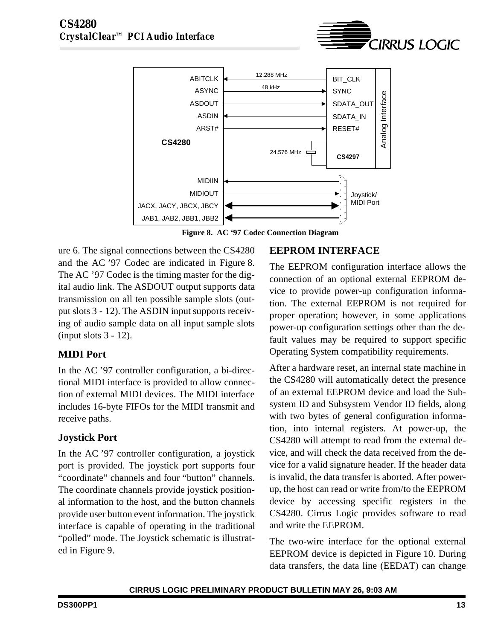

**Figure 8. AC '97 Codec Connection Diagram**

ure [6](#page-8-0). The signal connections between the CS4280 and the AC '97 Codec are indicated in Figure 8. The AC '97 Codec is the timing master for the digital audio link. The ASDOUT output supports data transmission on all ten possible sample slots (output slots 3 - 12). The ASDIN input supports receiving of audio sample data on all input sample slots (input slots 3 - 12).

# **MIDI Port**

In the AC '97 controller configuration, a bi-directional MIDI interface is provided to allow connection of external MIDI devices. The MIDI interface includes 16-byte FIFOs for the MIDI transmit and receive paths.

# **Joystick Port**

In the AC '97 controller configuration, a joystick port is provided. The joystick port supports four "coordinate" channels and four "button" channels. The coordinate channels provide joystick positional information to the host, and the button channels provide user button event information. The joystick interface is capable of operating in the traditional "polled" mode. The Joystick schematic is illustrated in Figure [9](#page-13-0).

# **EEPROM INTERFACE**

The EEPROM configuration interface allows the connection of an optional external EEPROM device to provide power-up configuration information. The external EEPROM is not required for proper operation; however, in some applications power-up configuration settings other than the default values may be required to support specific Operating System compatibility requirements.

**CIRRUS LOGIC** 

After a hardware reset, an internal state machine in the CS4280 will automatically detect the presence of an external EEPROM device and load the Subsystem ID and Subsystem Vendor ID fields, along with two bytes of general configuration information, into internal registers. At power-up, the CS4280 will attempt to read from the external device, and will check the data received from the device for a valid signature header. If the header data is invalid, the data transfer is aborted. After powerup, the host can read or write from/to the EEPROM device by accessing specific registers in the CS4280. Cirrus Logic provides software to read and write the EEPROM.

The two-wire interface for the optional external EEPROM device is depicted in Figure [10.](#page-13-0) During data transfers, the data line (EEDAT) can change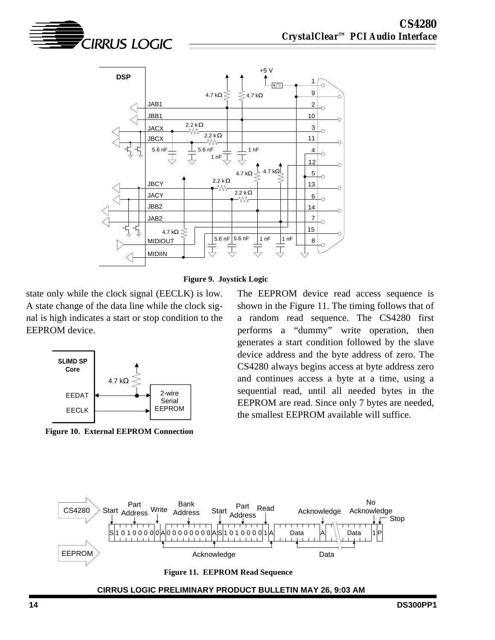<span id="page-13-0"></span>





state only while the clock signal (EECLK) is low. A state change of the data line while the clock signal is high indicates a start or stop condition to the EEPROM device.



**Figure 10. External EEPROM Connection**

The EEPROM device read access sequence is shown in the Figure 11. The timing follows that of a random read sequence. The CS4280 first performs a "dummy" write operation, then generates a start condition followed by the slave device address and the byte address of zero. The CS4280 always begins access at byte address zero and continues access a byte at a time, using a sequential read, until all needed bytes in the EEPROM are read. Since only 7 bytes are needed, the smallest EEPROM available will suffice.



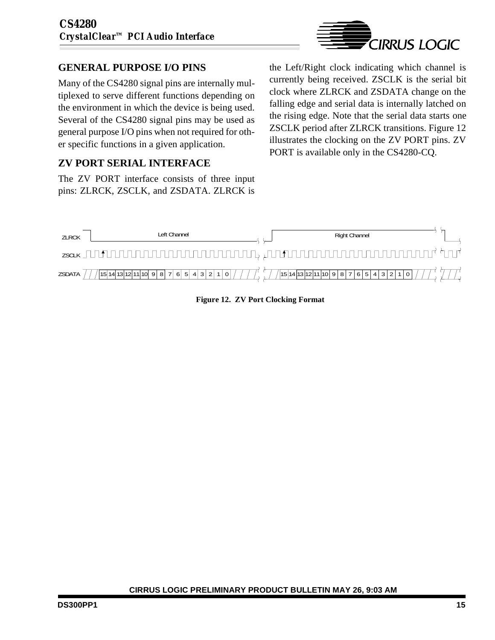# **GENERAL PURPOSE I/O PINS**

Many of the CS4280 signal pins are internally multiplexed to serve different functions depending on the environment in which the device is being used. Several of the CS4280 signal pins may be used as general purpose I/O pins when not required for other specific functions in a given application.

# **ZV PORT SERIAL INTERFACE**

The ZV PORT interface consists of three input pins: ZLRCK, ZSCLK, and ZSDATA. ZLRCK is



the Left/Right clock indicating which channel is currently being received. ZSCLK is the serial bit clock where ZLRCK and ZSDATA change on the falling edge and serial data is internally latched on the rising edge. Note that the serial data starts one ZSCLK period after ZLRCK transitions. Figure 12 illustrates the clocking on the ZV PORT pins. ZV PORT is available only in the CS4280-CQ.



**Figure 12. ZV Port Clocking Format**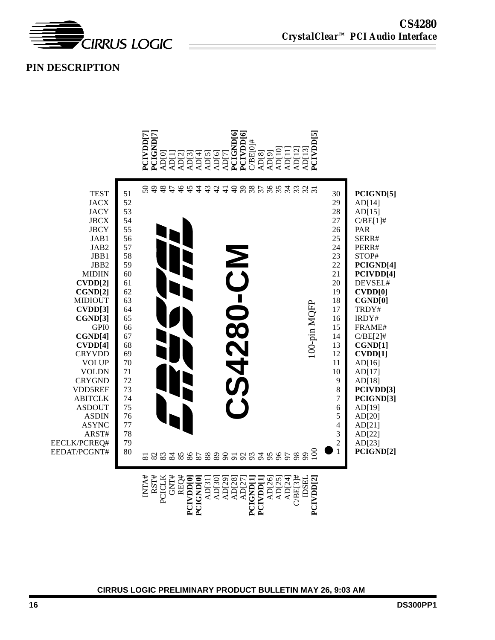

## **PIN DESCRIPTION**

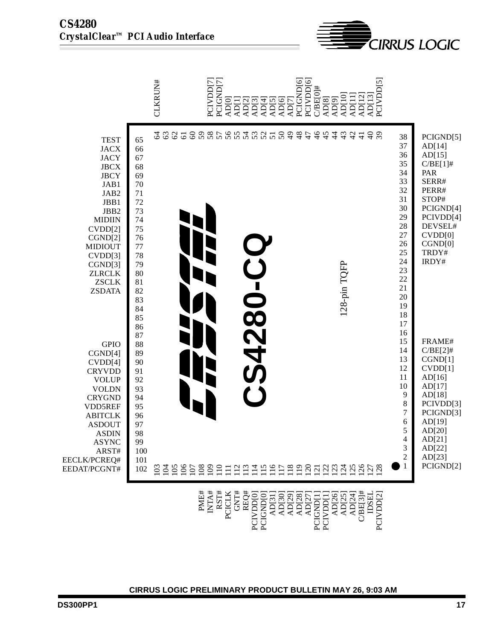|                                                                                                                                                                                                                                                                                                                                                                                                                                                                        |                                                                                                                                                                                                                                             | CLKRUN#                                                   | PCIGND[7]<br>PCIVDD[7]<br>AD[0]<br>AD[1]<br>AD[2]<br>AD[3] | <b>ADISION</b><br>ADISION<br>ADISION                                                     | PCIVDD[6]<br>PCIGND[6]<br>$CBE[0]\#$<br>AD[8]<br>AD[9] | AD[10]<br>AD[12]<br>AD[13]<br>AD[11]                                                                         | PCIVDD[5]                                                                                                                                                                                                                                                            |                                                                                                                                                                                                                                                                                                                                   |
|------------------------------------------------------------------------------------------------------------------------------------------------------------------------------------------------------------------------------------------------------------------------------------------------------------------------------------------------------------------------------------------------------------------------------------------------------------------------|---------------------------------------------------------------------------------------------------------------------------------------------------------------------------------------------------------------------------------------------|-----------------------------------------------------------|------------------------------------------------------------|------------------------------------------------------------------------------------------|--------------------------------------------------------|--------------------------------------------------------------------------------------------------------------|----------------------------------------------------------------------------------------------------------------------------------------------------------------------------------------------------------------------------------------------------------------------|-----------------------------------------------------------------------------------------------------------------------------------------------------------------------------------------------------------------------------------------------------------------------------------------------------------------------------------|
| <b>TEST</b><br><b>JACX</b><br><b>JACY</b><br><b>JBCX</b><br><b>JBCY</b><br>JAB1<br>JAB2<br>JBB1<br>JBB2<br><b>MIDIIN</b><br>CVDD[2]<br>CGND[2]<br><b>MIDIOUT</b><br>CVDD[3]<br>CGND[3]<br><b>ZLRCLK</b><br><b>ZSCLK</b><br><b>ZSDATA</b><br><b>GPIO</b><br>CGND[4]<br>CVDD[4]<br><b>CRYVDD</b><br><b>VOLUP</b><br><b>VOLDN</b><br><b>CRYGND</b><br>VDD5REF<br><b>ABITCLK</b><br><b>ASDOUT</b><br><b>ASDIN</b><br><b>ASYNC</b><br>ARST#<br>EECLK/PCREQ#<br>EEDAT/PCGNT# | 65<br>66<br>67<br>68<br>69<br>$70\,$<br>$71\,$<br>72<br>73<br>74<br>75<br>76<br>77<br>78<br>79<br>80<br>81<br>82<br>83<br>84<br>85<br>86<br>87<br>88<br>89<br>90<br>91<br>92<br>93<br>94<br>95<br>96<br>97<br>98<br>99<br>100<br>101<br>102 | 63<br>$\mathcal{O}$<br>2<br>$\overline{61}$               |                                                            | 88866656655884<br><b>4280-C</b>                                                          | 45<br>$\ddot{4}$                                       | $rac{3}{4}$<br>$\frac{6}{2}$<br>$\frac{1}{4}$<br>128-pin TQFP                                                | 38<br>37<br>36<br>35<br>34<br>33<br>32<br>31<br>30<br>29<br>28<br>27<br>26<br>25<br>24<br>23<br>22<br>21<br>20<br>19<br>18<br>17<br>16<br>15<br>14<br>13<br>12<br>11<br>10<br>9<br>$\,$ 8 $\,$<br>$\overline{7}$<br>$\sqrt{6}$<br>5<br>4<br>3<br>$\overline{c}$<br>1 | PCIGND[5]<br>AD[14]<br>AD[15]<br>$C/BE[1]\#$<br>PAR<br>SERR#<br>PERR#<br>STOP#<br>PCIGND[4]<br>PCIVDD[4]<br>DEVSEL#<br>CVDD[0]<br>CGND[0]<br>TRDY#<br>IRDY#<br>FRAME#<br>$C/BE[2]\#$<br>CGND[1]<br>CVDD[1]<br>AD[16]<br>AD[17]<br>AD[18]<br>PCIVDD[3]<br>PCIGND[3]<br>AD[19]<br>AD[20]<br>AD[21]<br>AD[22]<br>AD[23]<br>PCIGND[2] |
|                                                                                                                                                                                                                                                                                                                                                                                                                                                                        |                                                                                                                                                                                                                                             | PME#<br>INTA#                                             | RST#<br>GNT#<br>REQ#<br>PCIVDD[0]<br>PCICLK                | PCIGNDIO<br>ADJ31<br>ADJ30<br>ADJ29<br>ADJ27<br>ADJ27<br>CCIGNDI<br>PCICNDII<br>PCIVDDII |                                                        | $\begin{array}{c} {\rm AD[26]} \\ {\rm AD[25]} \\ {\rm AD[24]} \\ {\rm CBE[3]^\#} \\ {\rm DSEL} \end{array}$ | PCIVDD[2]                                                                                                                                                                                                                                                            |                                                                                                                                                                                                                                                                                                                                   |
|                                                                                                                                                                                                                                                                                                                                                                                                                                                                        |                                                                                                                                                                                                                                             | CIRRUS LOGIC PRELIMINARY PRODUCT BULLETIN MAY 26, 9:03 AM |                                                            |                                                                                          |                                                        |                                                                                                              |                                                                                                                                                                                                                                                                      |                                                                                                                                                                                                                                                                                                                                   |

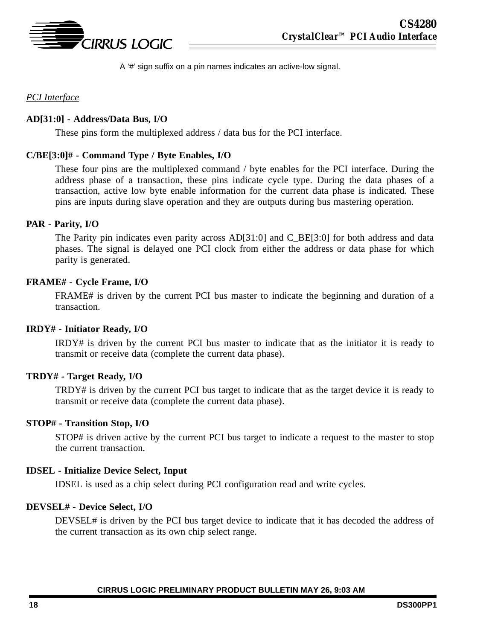

A '#' sign suffix on a pin names indicates an active-low signal.

### *PCI Interface*

#### **AD[31:0] - Address/Data Bus, I/O**

These pins form the multiplexed address / data bus for the PCI interface.

#### **C/BE[3:0]# - Command Type / Byte Enables, I/O**

These four pins are the multiplexed command / byte enables for the PCI interface. During the address phase of a transaction, these pins indicate cycle type. During the data phases of a transaction, active low byte enable information for the current data phase is indicated. These pins are inputs during slave operation and they are outputs during bus mastering operation.

#### **PAR - Parity, I/O**

The Parity pin indicates even parity across  $AD[31:0]$  and C\_BE[3:0] for both address and data phases. The signal is delayed one PCI clock from either the address or data phase for which parity is generated.

#### **FRAME# - Cycle Frame, I/O**

FRAME# is driven by the current PCI bus master to indicate the beginning and duration of a transaction.

#### **IRDY# - Initiator Ready, I/O**

IRDY# is driven by the current PCI bus master to indicate that as the initiator it is ready to transmit or receive data (complete the current data phase).

#### **TRDY# - Target Ready, I/O**

TRDY# is driven by the current PCI bus target to indicate that as the target device it is ready to transmit or receive data (complete the current data phase).

#### **STOP# - Transition Stop, I/O**

STOP# is driven active by the current PCI bus target to indicate a request to the master to stop the current transaction.

#### **IDSEL - Initialize Device Select, Input**

IDSEL is used as a chip select during PCI configuration read and write cycles.

#### **DEVSEL# - Device Select, I/O**

DEVSEL# is driven by the PCI bus target device to indicate that it has decoded the address of the current transaction as its own chip select range.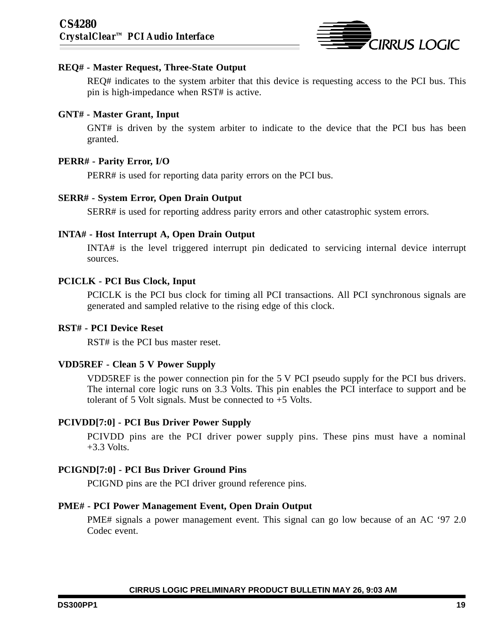

#### **REQ# - Master Request, Three-State Output**

REQ# indicates to the system arbiter that this device is requesting access to the PCI bus. This pin is high-impedance when RST# is active.

#### **GNT# - Master Grant, Input**

GNT# is driven by the system arbiter to indicate to the device that the PCI bus has been granted.

#### **PERR# - Parity Error, I/O**

PERR# is used for reporting data parity errors on the PCI bus.

#### **SERR# - System Error, Open Drain Output**

SERR# is used for reporting address parity errors and other catastrophic system errors.

#### **INTA# - Host Interrupt A, Open Drain Output**

INTA# is the level triggered interrupt pin dedicated to servicing internal device interrupt sources.

#### **PCICLK - PCI Bus Clock, Input**

PCICLK is the PCI bus clock for timing all PCI transactions. All PCI synchronous signals are generated and sampled relative to the rising edge of this clock.

#### **RST# - PCI Device Reset**

RST# is the PCI bus master reset.

#### **VDD5REF - Clean 5 V Power Supply**

VDD5REF is the power connection pin for the 5 V PCI pseudo supply for the PCI bus drivers. The internal core logic runs on 3.3 Volts. This pin enables the PCI interface to support and be tolerant of 5 Volt signals. Must be connected to +5 Volts.

#### **PCIVDD[7:0] - PCI Bus Driver Power Supply**

PCIVDD pins are the PCI driver power supply pins. These pins must have a nominal  $+3.3$  Volts.

#### **PCIGND[7:0] - PCI Bus Driver Ground Pins**

PCIGND pins are the PCI driver ground reference pins.

#### **PME# - PCI Power Management Event, Open Drain Output**

PME# signals a power management event. This signal can go low because of an AC '97 2.0 Codec event.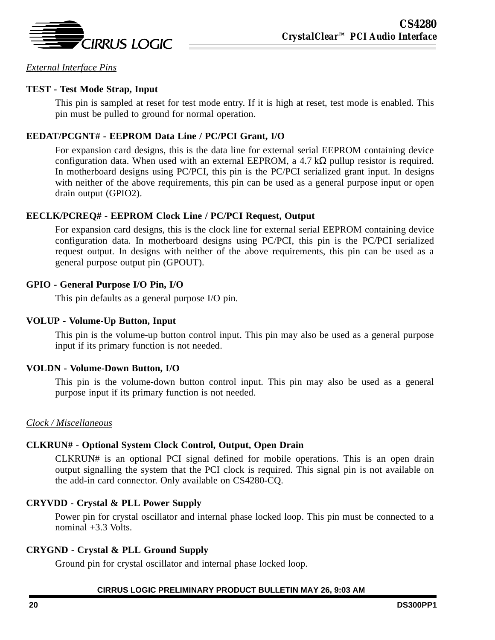

*External Interface Pins*

### **TEST - Test Mode Strap, Input**

This pin is sampled at reset for test mode entry. If it is high at reset, test mode is enabled. This pin must be pulled to ground for normal operation.

### **EEDAT/PCGNT# - EEPROM Data Line / PC/PCI Grant, I/O**

For expansion card designs, this is the data line for external serial EEPROM containing device configuration data. When used with an external EEPROM, a 4.7 k $\Omega$  pullup resistor is required. In motherboard designs using PC/PCI, this pin is the PC/PCI serialized grant input. In designs with neither of the above requirements, this pin can be used as a general purpose input or open drain output (GPIO2).

### **EECLK/PCREQ# - EEPROM Clock Line / PC/PCI Request, Output**

For expansion card designs, this is the clock line for external serial EEPROM containing device configuration data. In motherboard designs using PC/PCI, this pin is the PC/PCI serialized request output. In designs with neither of the above requirements, this pin can be used as a general purpose output pin (GPOUT).

### **GPIO - General Purpose I/O Pin, I/O**

This pin defaults as a general purpose I/O pin.

#### **VOLUP - Volume-Up Button, Input**

This pin is the volume-up button control input. This pin may also be used as a general purpose input if its primary function is not needed.

### **VOLDN - Volume-Down Button, I/O**

This pin is the volume-down button control input. This pin may also be used as a general purpose input if its primary function is not needed.

#### *Clock / Miscellaneous*

### **CLKRUN# - Optional System Clock Control, Output, Open Drain**

CLKRUN# is an optional PCI signal defined for mobile operations. This is an open drain output signalling the system that the PCI clock is required. This signal pin is not available on the add-in card connector. Only available on CS4280-CQ.

### **CRYVDD - Crystal & PLL Power Supply**

Power pin for crystal oscillator and internal phase locked loop. This pin must be connected to a nominal  $+3.3$  Volts.

#### **CRYGND - Crystal & PLL Ground Supply**

Ground pin for crystal oscillator and internal phase locked loop.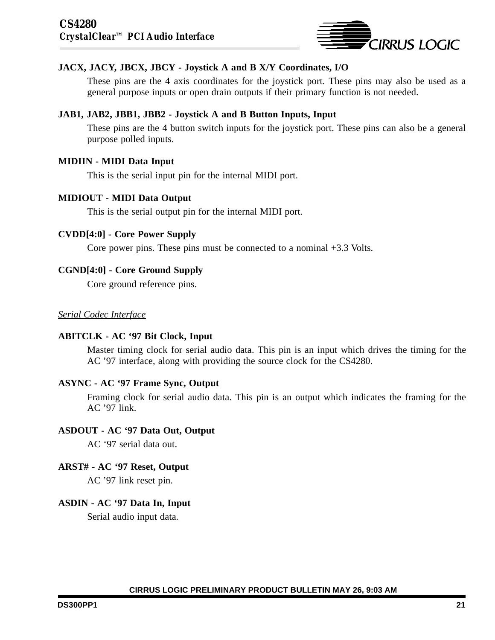

### **JACX, JACY, JBCX, JBCY - Joystick A and B X/Y Coordinates, I/O**

These pins are the 4 axis coordinates for the joystick port. These pins may also be used as a general purpose inputs or open drain outputs if their primary function is not needed.

### **JAB1, JAB2, JBB1, JBB2 - Joystick A and B Button Inputs, Input**

These pins are the 4 button switch inputs for the joystick port. These pins can also be a general purpose polled inputs.

### **MIDIIN - MIDI Data Input**

This is the serial input pin for the internal MIDI port.

#### **MIDIOUT - MIDI Data Output**

This is the serial output pin for the internal MIDI port.

### **CVDD[4:0] - Core Power Supply**

Core power pins. These pins must be connected to a nominal +3.3 Volts.

### **CGND[4:0] - Core Ground Supply**

Core ground reference pins.

### *Serial Codec Interface*

#### **ABITCLK - AC '97 Bit Clock, Input**

Master timing clock for serial audio data. This pin is an input which drives the timing for the AC '97 interface, along with providing the source clock for the CS4280.

#### **ASYNC - AC '97 Frame Sync, Output**

Framing clock for serial audio data. This pin is an output which indicates the framing for the AC '97 link.

#### **ASDOUT - AC '97 Data Out, Output**

AC '97 serial data out.

#### **ARST# - AC '97 Reset, Output**

AC '97 link reset pin.

#### **ASDIN - AC '97 Data In, Input**

Serial audio input data.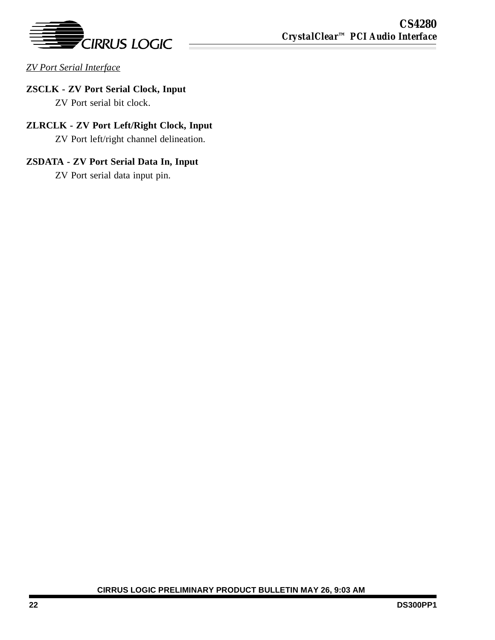

*ZV Port Serial Interface*

# **ZSCLK - ZV Port Serial Clock, Input**

ZV Port serial bit clock.

# **ZLRCLK - ZV Port Left/Right Clock, Input**

ZV Port left/right channel delineation.

# **ZSDATA - ZV Port Serial Data In, Input**

ZV Port serial data input pin.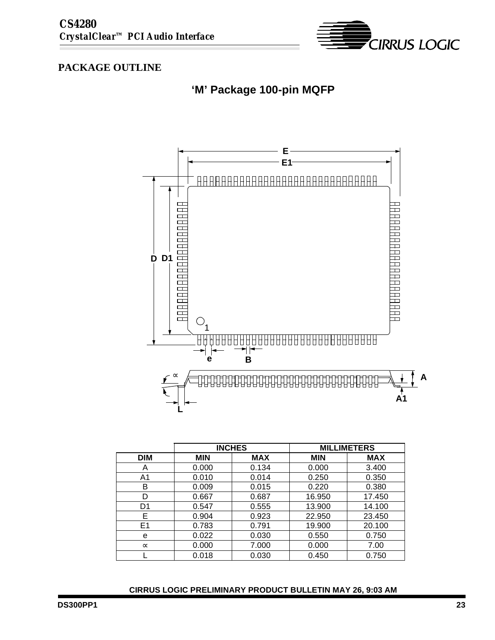

# **PACKAGE OUTLINE**





|                | <b>INCHES</b> |            | <b>MILLIMETERS</b> |            |
|----------------|---------------|------------|--------------------|------------|
| <b>DIM</b>     | <b>MIN</b>    | <b>MAX</b> | <b>MIN</b>         | <b>MAX</b> |
| Α              | 0.000         | 0.134      | 0.000              | 3.400      |
| A1             | 0.010         | 0.014      | 0.250              | 0.350      |
| в              | 0.009         | 0.015      | 0.220              | 0.380      |
| D              | 0.667         | 0.687      | 16.950             | 17.450     |
| D <sub>1</sub> | 0.547         | 0.555      | 13.900             | 14.100     |
| Е              | 0.904         | 0.923      | 22.950             | 23.450     |
| E1             | 0.783         | 0.791      | 19.900             | 20.100     |
| e              | 0.022         | 0.030      | 0.550              | 0.750      |
| $\infty$       | 0.000         | 7.000      | 0.000              | 7.00       |
|                | 0.018         | 0.030      | 0.450              | 0.750      |